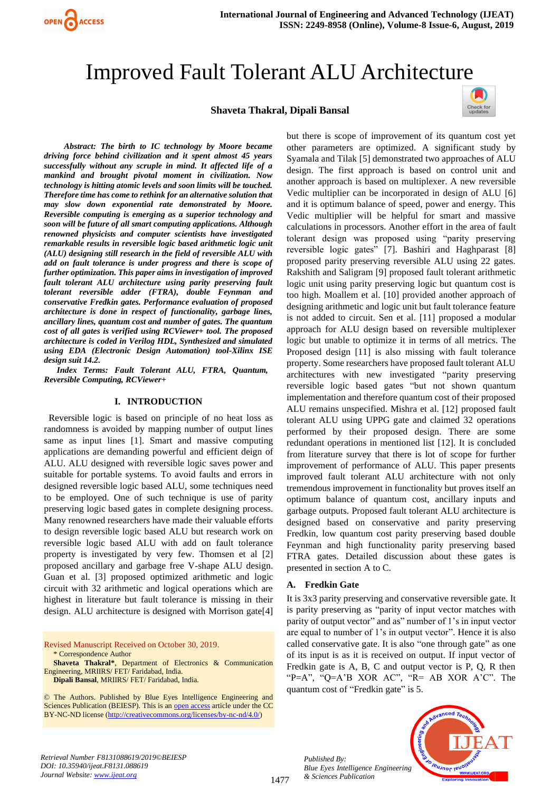

# Improved Fault Tolerant ALU Architecture

#### **Shaveta Thakral, Dipali Bansal**



*Abstract: The birth to IC technology by Moore became driving force behind civilization and it spent almost 45 years successfully without any scruple in mind. It affected life of a mankind and brought pivotal moment in civilization. Now technology is hitting atomic levels and soon limits will be touched. Therefore time has come to rethink for an alternative solution that may slow down exponential rate demonstrated by Moore. Reversible computing is emerging as a superior technology and soon will be future of all smart computing applications. Although renowned physicists and computer scientists have investigated remarkable results in reversible logic based arithmetic logic unit (ALU) designing still research in the field of reversible ALU with add on fault tolerance is under progress and there is scope of further optimization. This paper aims in investigation of improved fault tolerant ALU architecture using parity preserving fault tolerant reversible adder (FTRA), double Feynman and conservative Fredkin gates. Performance evaluation of proposed architecture is done in respect of functionality, garbage lines, ancillary lines, quantum cost and number of gates. The quantum cost of all gates is verified using RCViewer+ tool. The proposed architecture is coded in Verilog HDL, Synthesized and simulated using EDA (Electronic Design Automation) tool-Xilinx ISE design suit 14.2.*

*Index Terms: Fault Tolerant ALU, FTRA, Quantum, Reversible Computing, RCViewer+*

#### **I. INTRODUCTION**

 Reversible logic is based on principle of no heat loss as randomness is avoided by mapping number of output lines same as input lines [1]. Smart and massive computing applications are demanding powerful and efficient deign of ALU. ALU designed with reversible logic saves power and suitable for portable systems. To avoid faults and errors in designed reversible logic based ALU, some techniques need to be employed. One of such technique is use of parity preserving logic based gates in complete designing process. Many renowned researchers have made their valuable efforts to design reversible logic based ALU but research work on reversible logic based ALU with add on fault tolerance property is investigated by very few. Thomsen et al [2] proposed ancillary and garbage free V-shape ALU design. Guan et al. [3] proposed optimized arithmetic and logic circuit with 32 arithmetic and logical operations which are highest in literature but fault tolerance is missing in their design. ALU architecture is designed with Morrison gate[4]

Revised Manuscript Received on October 30, 2019. \* Correspondence Author **Shaveta Thakral\***, Department of Electronics & Communication

Engineering, MRIIRS/ FET/ Faridabad, India. **Dipali Bansal**, MRIIRS/ FET/ Faridabad, India.

© The Authors. Published by Blue Eyes Intelligence Engineering and Sciences Publication (BEIESP). This is an [open access](https://www.openaccess.nl/en/open-publications) article under the CC BY-NC-ND license [\(http://creativecommons.org/licenses/by-nc-nd/4.0/\)](http://creativecommons.org/licenses/by-nc-nd/4.0/)

but there is scope of improvement of its quantum cost yet other parameters are optimized. A significant study by Syamala and Tilak [5] demonstrated two approaches of ALU design. The first approach is based on control unit and another approach is based on multiplexer. A new reversible Vedic multiplier can be incorporated in design of ALU [6] and it is optimum balance of speed, power and energy. This Vedic multiplier will be helpful for smart and massive calculations in processors. Another effort in the area of fault tolerant design was proposed using "parity preserving reversible logic gates" [7]. Bashiri and Haghparast [8] proposed parity preserving reversible ALU using 22 gates. Rakshith and Saligram [9] proposed fault tolerant arithmetic logic unit using parity preserving logic but quantum cost is too high. Moallem et al. [10] provided another approach of designing arithmetic and logic unit but fault tolerance feature is not added to circuit. Sen et al. [11] proposed a modular approach for ALU design based on reversible multiplexer logic but unable to optimize it in terms of all metrics. The Proposed design [11] is also missing with fault tolerance property. Some researchers have proposed fault tolerant ALU architectures with new investigated "parity preserving reversible logic based gates "but not shown quantum implementation and therefore quantum cost of their proposed ALU remains unspecified. Mishra et al. [12] proposed fault tolerant ALU using UPPG gate and claimed 32 operations performed by their proposed design. There are some redundant operations in mentioned list [12]. It is concluded from literature survey that there is lot of scope for further improvement of performance of ALU. This paper presents improved fault tolerant ALU architecture with not only tremendous improvement in functionality but proves itself an optimum balance of quantum cost, ancillary inputs and garbage outputs. Proposed fault tolerant ALU architecture is designed based on conservative and parity preserving Fredkin, low quantum cost parity preserving based double Feynman and high functionality parity preserving based FTRA gates. Detailed discussion about these gates is presented in section A to C.

#### **A. Fredkin Gate**

It is 3x3 parity preserving and conservative reversible gate. It is parity preserving as "parity of input vector matches with parity of output vector" and as" number of 1's in input vector are equal to number of 1's in output vector". Hence it is also called conservative gate. It is also "one through gate" as one of its input is as it is received on output. If input vector of Fredkin gate is A, B, C and output vector is P, Q, R then "P=A", "Q=A'B XOR AC", "R= AB XOR A'C". The quantum cost of "Fredkin gate" is 5.

*Retrieval Number F8131088619/2019©BEIESP DOI: 10.35940/ijeat.F8131.088619 Journal Website[: www.ijeat.org](http://www.ijeat.org/)*

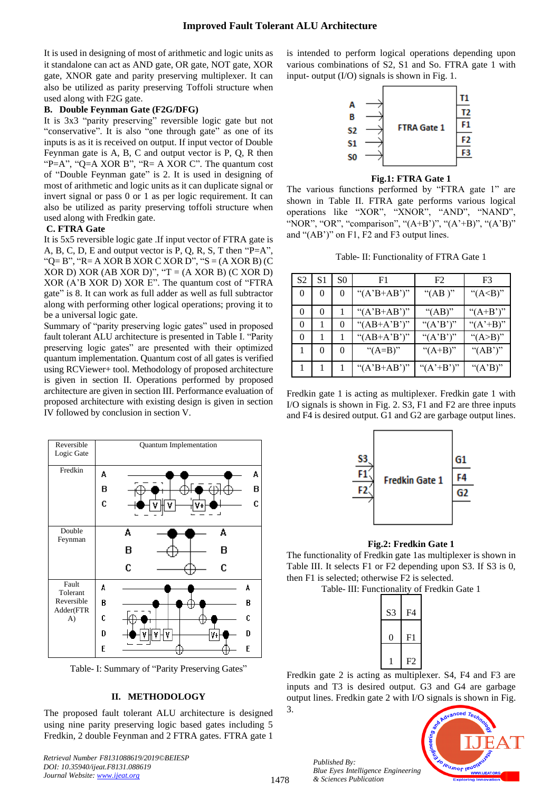It is used in designing of most of arithmetic and logic units as it standalone can act as AND gate, OR gate, NOT gate, XOR gate, XNOR gate and parity preserving multiplexer. It can also be utilized as parity preserving Toffoli structure when used along with F2G gate.

# **B. Double Feynman Gate (F2G/DFG)**

It is 3x3 "parity preserving" reversible logic gate but not "conservative". It is also "one through gate" as one of its inputs is as it is received on output. If input vector of Double Feynman gate is A, B, C and output vector is P, Q, R then "P=A", "Q=A XOR B", "R= A XOR C". The quantum cost of "Double Feynman gate" is 2. It is used in designing of most of arithmetic and logic units as it can duplicate signal or invert signal or pass 0 or 1 as per logic requirement. It can also be utilized as parity preserving toffoli structure when used along with Fredkin gate.

#### **C. FTRA Gate**

It is 5x5 reversible logic gate .If input vector of FTRA gate is A, B, C, D, E and output vector is P, Q, R, S, T then "P=A", " $Q = B$ ", " $R = A XOR B XOR C XOR D$ ", " $S = (A XOR B) (C)$ XOR D) XOR (AB XOR D)", " $T = (A \ XOR B) (C \ XOR D)$ XOR (A'B XOR D) XOR E". The quantum cost of "FTRA gate" is 8. It can work as full adder as well as full subtractor along with performing other logical operations; proving it to be a universal logic gate.

Summary of "parity preserving logic gates" used in proposed fault tolerant ALU architecture is presented in Table I. "Parity preserving logic gates" are presented with their optimized quantum implementation. Quantum cost of all gates is verified using RCViewer+ tool. Methodology of proposed architecture is given in section II. Operations performed by proposed architecture are given in section III. Performance evaluation of proposed architecture with existing design is given in section IV followed by conclusion in section V.



Table- I: Summary of "Parity Preserving Gates"

#### **II. METHODOLOGY**

The proposed fault tolerant ALU architecture is designed using nine parity preserving logic based gates including 5 Fredkin, 2 double Feynman and 2 FTRA gates. FTRA gate 1

*Retrieval Number F8131088619/2019©BEIESP DOI: 10.35940/ijeat.F8131.088619 Journal Website[: www.ijeat.org](http://www.ijeat.org/)*

is intended to perform logical operations depending upon various combinations of S2, S1 and So. FTRA gate 1 with input- output (I/O) signals is shown in Fig. 1.



#### **Fig.1: FTRA Gate 1**

The various functions performed by "FTRA gate 1" are shown in Table II. FTRA gate performs various logical operations like "XOR", "XNOR", "AND", "NAND", "NOR", "OR", "comparison", " $(A+B')$ ", " $(A'+B)$ ", " $(A'B)$ " and "(AB')" on F1, F2 and F3 output lines.

Table- II: Functionality of FTRA Gate 1

| S2       | S1       | S0            | F1                               | F <sub>2</sub>                | F3                   |
|----------|----------|---------------|----------------------------------|-------------------------------|----------------------|
| $\theta$ | $\Omega$ | $\theta$      | " $(A^{\prime}B+A B^{\prime})$ " | "(AB )"                       | " $(A< B)$ "         |
| $\theta$ | $\Omega$ |               | " $(A^{\prime}B+A B^{\prime})$ " | " $(AB)$ "                    | " $(A+B')$ "         |
| $\Omega$ |          | 0             | " $(AB+A'B')$ "                  | " $(A'B)$ "                   | " $(A^{\prime}+B)$ " |
| $\theta$ |          |               | " $(AB+A'B')$ "                  | " $(A'B')$ "                  | " $(A>B)$ "          |
|          | 0        | $\mathcal{O}$ | " $(A=B)$ "                      | " $(A+B)$ "                   | " $(AB')$ "          |
|          |          |               | " $(A'B+AB')$ "                  | " $(A^{\prime}+B^{\prime})$ " | " $(A'B)$ "          |

Fredkin gate 1 is acting as multiplexer. Fredkin gate 1 with I/O signals is shown in Fig. 2. S3, F1 and F2 are three inputs and F4 is desired output. G1 and G2 are garbage output lines.



#### **Fig.2: Fredkin Gate 1**

The functionality of Fredkin gate 1as multiplexer is shown in Table III. It selects F1 or F2 depending upon S3. If S3 is 0, then F1 is selected; otherwise F2 is selected.

Table- III: Functionality of Fredkin Gate 1

| S3 | F4 |
|----|----|
|    | F1 |
|    | F2 |

Fredkin gate 2 is acting as multiplexer. S4, F4 and F3 are inputs and T3 is desired output. G3 and G4 are garbage output lines. Fredkin gate 2 with I/O signals is shown in Fig.

3.

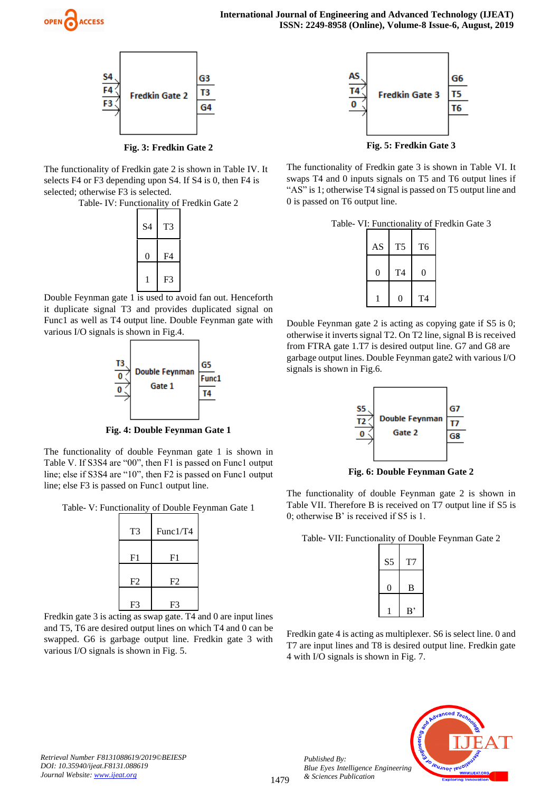



**Fig. 3: Fredkin Gate 2** 

The functionality of Fredkin gate 2 is shown in Table IV. It selects F4 or F3 depending upon S4. If S4 is 0, then F4 is selected; otherwise F3 is selected.

Table- IV: Functionality of Fredkin Gate 2



Double Feynman gate 1 is used to avoid fan out. Henceforth it duplicate signal T3 and provides duplicated signal on Func1 as well as T4 output line. Double Feynman gate with various I/O signals is shown in Fig.4.



**Fig. 4: Double Feynman Gate 1** 

The functionality of double Feynman gate 1 is shown in Table V. If S3S4 are "00", then F1 is passed on Func1 output line; else if S3S4 are "10", then F2 is passed on Func1 output line; else F3 is passed on Func1 output line.

Table- V: Functionality of Double Feynman Gate 1

| T <sub>3</sub> | Func1/T4       |
|----------------|----------------|
| F <sub>1</sub> | F1             |
| F2             | F <sub>2</sub> |
| F <sub>3</sub> | F3             |

Fredkin gate 3 is acting as swap gate. T4 and 0 are input lines and T5, T6 are desired output lines on which T4 and 0 can be swapped. G6 is garbage output line. Fredkin gate 3 with various I/O signals is shown in Fig. 5.



**Fig. 5: Fredkin Gate 3** 

The functionality of Fredkin gate 3 is shown in Table VI. It swaps T4 and 0 inputs signals on T5 and T6 output lines if "AS" is 1; otherwise T4 signal is passed on T5 output line and 0 is passed on T6 output line.

Table- VI: Functionality of Fredkin Gate 3

| AS | T5             | T <sub>6</sub> |
|----|----------------|----------------|
| 0  | T <sub>4</sub> | 0              |
|    | 0              | T <sub>4</sub> |

Double Feynman gate 2 is acting as copying gate if S5 is 0; otherwise it inverts signal T2. On T2 line, signal B is received from FTRA gate 1.T7 is desired output line. G7 and G8 are garbage output lines. Double Feynman gate2 with various I/O signals is shown in Fig.6.



**Fig. 6: Double Feynman Gate 2** 

The functionality of double Feynman gate 2 is shown in Table VII. Therefore B is received on T7 output line if S5 is 0; otherwise B' is received if S5 is 1.

Table- VII: Functionality of Double Feynman Gate 2

| S <sub>5</sub> | Т7 |
|----------------|----|
| O)             | B  |
|                | B, |

Fredkin gate 4 is acting as multiplexer. S6 is select line. 0 and T7 are input lines and T8 is desired output line. Fredkin gate 4 with I/O signals is shown in Fig. 7.



*Retrieval Number F8131088619/2019©BEIESP DOI: 10.35940/ijeat.F8131.088619 Journal Website[: www.ijeat.org](http://www.ijeat.org/)*

*Published By:*

*& Sciences Publication*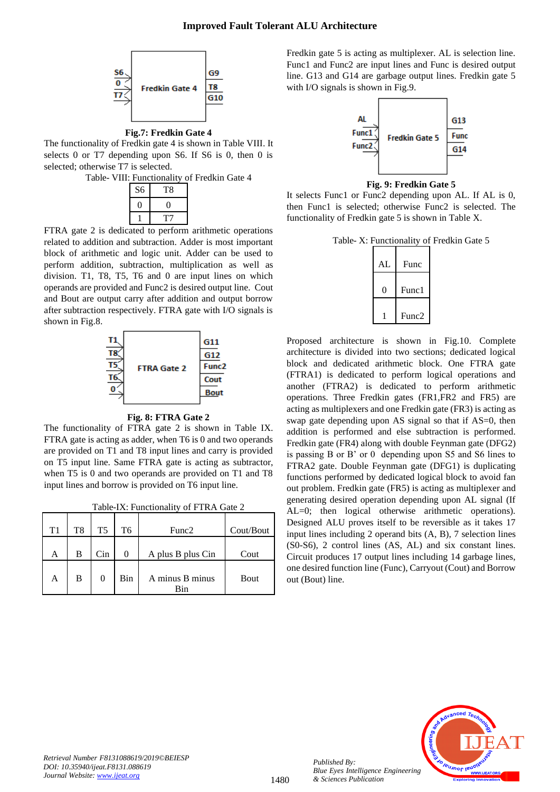

**Fig.7: Fredkin Gate 4** 

The functionality of Fredkin gate 4 is shown in Table VIII. It selects 0 or T7 depending upon S6. If S6 is 0, then 0 is selected; otherwise T7 is selected.

Table- VIII: Functionality of Fredkin Gate 4



FTRA gate 2 is dedicated to perform arithmetic operations related to addition and subtraction. Adder is most important block of arithmetic and logic unit. Adder can be used to perform addition, subtraction, multiplication as well as division. T1, T8, T5, T6 and 0 are input lines on which operands are provided and Func2 is desired output line. Cout and Bout are output carry after addition and output borrow after subtraction respectively. FTRA gate with I/O signals is shown in Fig.8.



#### **Fig. 8: FTRA Gate 2**

The functionality of FTRA gate 2 is shown in Table IX. FTRA gate is acting as adder, when T6 is 0 and two operands are provided on T1 and T8 input lines and carry is provided on T5 input line. Same FTRA gate is acting as subtractor, when T5 is 0 and two operands are provided on T1 and T8 input lines and borrow is provided on T6 input line.

| T1 | T <sub>8</sub> | T <sub>5</sub> | T <sub>6</sub> | Func2                  | Cout/Bout |
|----|----------------|----------------|----------------|------------------------|-----------|
| А  | B              | Cin            |                | A plus B plus Cin      | Cout      |
| A  | B              |                | Bin            | A minus B minus<br>Rin | Bout      |

Fredkin gate 5 is acting as multiplexer. AL is selection line. Func1 and Func2 are input lines and Func is desired output line. G13 and G14 are garbage output lines. Fredkin gate 5 with I/O signals is shown in Fig.9.



**Fig. 9: Fredkin Gate 5** 

It selects Func1 or Func2 depending upon AL. If AL is 0, then Func1 is selected; otherwise Func2 is selected. The functionality of Fredkin gate 5 is shown in Table X.

Table- X: Functionality of Fredkin Gate 5

| AL | Func              |
|----|-------------------|
|    | Func1             |
|    | Func <sub>2</sub> |

Proposed architecture is shown in Fig.10. Complete architecture is divided into two sections; dedicated logical block and dedicated arithmetic block. One FTRA gate (FTRA1) is dedicated to perform logical operations and another (FTRA2) is dedicated to perform arithmetic operations. Three Fredkin gates (FR1,FR2 and FR5) are acting as multiplexers and one Fredkin gate (FR3) is acting as swap gate depending upon AS signal so that if AS=0, then addition is performed and else subtraction is performed. Fredkin gate (FR4) along with double Feynman gate (DFG2) is passing B or B' or 0 depending upon S5 and S6 lines to FTRA2 gate. Double Feynman gate (DFG1) is duplicating functions performed by dedicated logical block to avoid fan out problem. Fredkin gate (FR5) is acting as multiplexer and generating desired operation depending upon AL signal (If AL=0; then logical otherwise arithmetic operations). Designed ALU proves itself to be reversible as it takes 17 input lines including 2 operand bits (A, B), 7 selection lines (S0-S6), 2 control lines (AS, AL) and six constant lines. Circuit produces 17 output lines including 14 garbage lines, one desired function line (Func), Carryout (Cout) and Borrow out (Bout) line.



*Published By:*

*& Sciences Publication*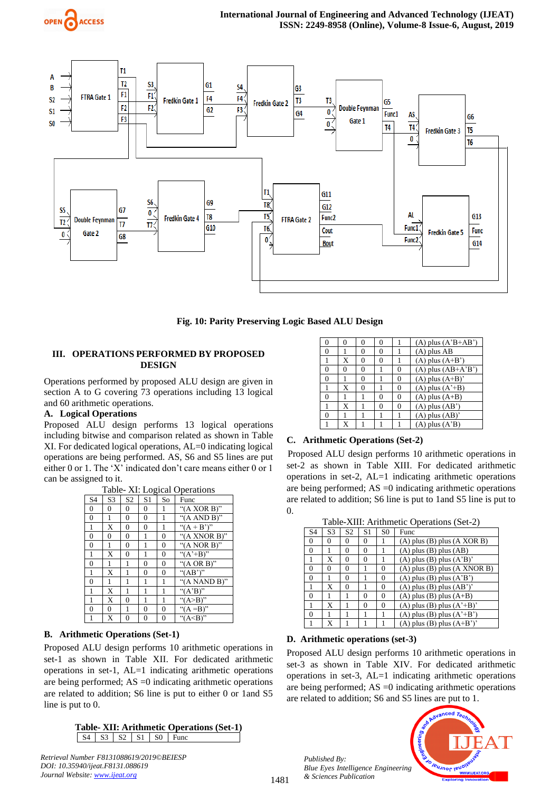



**Fig. 10: Parity Preserving Logic Based ALU Design**

# **III. OPERATIONS PERFORMED BY PROPOSED DESIGN**

Operations performed by proposed ALU design are given in section A to G covering 73 operations including 13 logical and 60 arithmetic operations.

# **A. Logical Operations**

Proposed ALU design performs 13 logical operations including bitwise and comparison related as shown in Table XI. For dedicated logical operations, AL=0 indicating logical operations are being performed. AS, S6 and S5 lines are put either 0 or 1. The 'X' indicated don't care means either 0 or 1 can be assigned to it.

| Table- XI: Logical Operations |                |                |                |          |                          |  |  |  |
|-------------------------------|----------------|----------------|----------------|----------|--------------------------|--|--|--|
| S <sub>4</sub>                | S <sub>3</sub> | S <sub>2</sub> | S <sub>1</sub> | So       | Func                     |  |  |  |
| $\theta$                      | 0              | $\theta$       | $\theta$       |          | " $(A XOR B)$ "          |  |  |  |
| 0                             | 1              | $\theta$       | 0              | 1        | " $(A AND B)$ "          |  |  |  |
| 1                             | X              | $\theta$       | $\theta$       | 1        | " $(A + B)$ "            |  |  |  |
| 0                             | 0              | 0              |                | 0        | " $(A \nXNOR B)$ "       |  |  |  |
| $\theta$                      | 1              | $\theta$       | 1              | $\theta$ | " $(A \text{ NOR } B)$ " |  |  |  |
| 1                             | X              | $\theta$       | 1              | 0        | " $(A^{\prime}+B)$ "     |  |  |  |
| $\theta$                      | 1              | 1              | $\theta$       | $\theta$ | " $(A \tOR B)$ "         |  |  |  |
| 1                             | X              |                | 0              | 0        | " $(AB')$ "              |  |  |  |
| $\theta$                      | 1              | 1              | 1              | 1        | " $(A NAND B)$ "         |  |  |  |
| 1                             | X              | 1              | 1              | 1        | " $(A'B)$ "              |  |  |  |
| 1                             | X              | 0              | 1              | 1        | " $(A>B)$ "              |  |  |  |
| $\theta$                      | 0              | 1              | $\theta$       | 0        | " $(A = B)$ "            |  |  |  |
| 1                             | X              | $\theta$       | $\theta$       | 0        | " $(A< B)$ "             |  |  |  |

# **B. Arithmetic Operations (Set-1)**

Proposed ALU design performs 10 arithmetic operations in set-1 as shown in Table XII. For dedicated arithmetic operations in set-1, AL=1 indicating arithmetic operations are being performed;  $AS = 0$  indicating arithmetic operations are related to addition; S6 line is put to either 0 or 1and S5 line is put to 0.

#### **Table- XII: Arithmetic Operations (Set-1)**  $S4$   $S3$   $S2$   $S1$   $S0$   $Func$

*Retrieval Number F8131088619/2019©BEIESP DOI: 10.35940/ijeat.F8131.088619 Journal Website[: www.ijeat.org](http://www.ijeat.org/)*

| 0 | 0 |   | 0 |          | $(A)$ plus $(A'B+AB')$      |
|---|---|---|---|----------|-----------------------------|
| 0 |   | 0 | 0 |          | $(A)$ plus $AB$             |
|   | X | 0 | 0 |          | $(A)$ plus $(A+B')$         |
| 0 | 0 | 0 |   | 0        | $(A)$ plus $(AB+A'B')$      |
| 0 |   | 0 |   | $\theta$ | $(A)$ plus $(A+B)'$         |
|   | X | 0 |   | 0        | $(A)$ plus $(A^{\prime}+B)$ |
| 0 |   |   | 0 | 0        | $(A)$ plus $(A+B)$          |
|   | X |   | 0 | 0        | $(A)$ plus $(AB')$          |
| 0 |   |   |   |          | $(A)$ plus $(AB)'$          |
|   | X |   |   |          | $(A)$ plus $(A'B)$          |

#### **C.****Arithmetic Operations (Set-2)**

 Proposed ALU design performs 10 arithmetic operations in set-2 as shown in Table XIII. For dedicated arithmetic operations in set-2, AL=1 indicating arithmetic operations are being performed;  $AS = 0$  indicating arithmetic operations are related to addition; S6 line is put to 1and S5 line is put to 0.

|                | Table-XIII: Arithmetic Operations (Set-2) |                |                |                |                                                 |  |  |  |
|----------------|-------------------------------------------|----------------|----------------|----------------|-------------------------------------------------|--|--|--|
| S <sub>4</sub> | S <sub>3</sub>                            | S <sub>2</sub> | S <sub>1</sub> | S <sub>0</sub> | Func                                            |  |  |  |
| $\theta$       | $\Omega$                                  | 0              | 0              |                | $(A)$ plus $(B)$ plus $(A XOR B)$               |  |  |  |
| $\Omega$       |                                           | 0              | 0              |                | $(A)$ plus $(B)$ plus $(AB)$                    |  |  |  |
| 1              | X                                         | 0              | $\Omega$       |                | $(A)$ plus $(B)$ plus $(A'B)'$                  |  |  |  |
| $\theta$       | $\Omega$                                  | 0              |                | $\theta$       | $(A)$ plus $(B)$ plus $(A$ XNOR $B)$            |  |  |  |
| $\theta$       |                                           | 0              |                | $\Omega$       | $(A)$ plus $(B)$ plus $(A'B')$                  |  |  |  |
|                | X                                         | 0              |                | $\theta$       | $(A)$ plus $(B)$ plus $(AB')'$                  |  |  |  |
| $\theta$       |                                           |                | $\Omega$       | $\theta$       | $(A)$ plus $(B)$ plus $(A+B)$                   |  |  |  |
| 1              | X                                         |                | $\Omega$       | $\theta$       | $(A)$ plus $(B)$ plus $(A^*+B)$                 |  |  |  |
| $\theta$       |                                           |                |                |                | $(A)$ plus $(B)$ plus $(A^{\prime}+B^{\prime})$ |  |  |  |
|                | X                                         |                |                |                | $(A)$ plus $(B)$ plus $(A+B')'$                 |  |  |  |

#### **D.****Arithmetic operations (set-3)**

Proposed ALU design performs 10 arithmetic operations in set-3 as shown in Table XIV. For dedicated arithmetic operations in set-3, AL=1 indicating arithmetic operations are being performed; AS =0 indicating arithmetic operations are related to addition; S6 and S5 lines are put to 1.

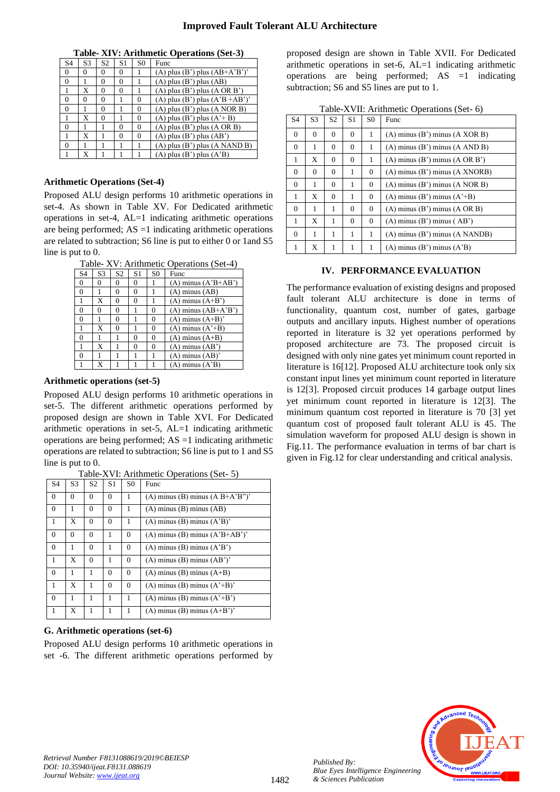**Table- XIV: Arithmetic Operations (Set-3)**

| S <sub>4</sub> | S <sub>3</sub> | S <sub>2</sub> | S1       | S <sub>0</sub> | Func                                        |
|----------------|----------------|----------------|----------|----------------|---------------------------------------------|
| $\Omega$       | 0              | 0              | $\Omega$ |                | $(A)$ plus $(B')$ plus $(AB+A'B')'$         |
| 0              |                | 0              | 0        |                | $(A)$ plus $(B')$ plus $(AB)$               |
|                | X              | 0              | $\theta$ |                | $(A)$ plus $(B')$ plus $(A \text{ OR } B')$ |
| $\theta$       | 0              | 0              |          | 0              | (A) plus (B') plus $(A'B + AB')'$           |
| $\theta$       |                | 0              |          | 0              | $(A)$ plus $(B')$ plus $(A$ NOR $B)$        |
|                | X              | 0              |          | $\theta$       | $(A)$ plus $(B')$ plus $(A'+B)$             |
| $\Omega$       |                |                | 0        | $\Omega$       | $(A)$ plus $(B')$ plus $(A \t{OR } B)$      |
|                | X              |                | $\Omega$ | $\Omega$       | $(A)$ plus $(B')$ plus $(AB')$              |
| $\theta$       |                |                |          |                | $(A)$ plus $(B')$ plus $(A$ NAND B)         |
|                | X              |                |          |                | $(A)$ plus $(B')$ plus $(A'B)$              |

### **Arithmetic Operations (Set-4)**

Proposed ALU design performs 10 arithmetic operations in set-4. As shown in Table XV. For Dedicated arithmetic operations in set-4, AL=1 indicating arithmetic operations are being performed;  $AS =1$  indicating arithmetic operations are related to subtraction; S6 line is put to either 0 or 1and S5 line is put to 0.

| Table- XV: Arithmetic Operations (Set-4) |                |                |                |                |                                            |  |
|------------------------------------------|----------------|----------------|----------------|----------------|--------------------------------------------|--|
| S <sub>4</sub>                           | S <sub>3</sub> | S <sub>2</sub> | S <sub>1</sub> | S <sub>0</sub> | Func                                       |  |
| $\mathbf{0}$                             | 0              | 0              | 0              |                | $(A)$ minus $(A^{\dagger}B+A B^{\dagger})$ |  |
| $\Omega$                                 |                | $\Omega$       | 0              |                | $(A)$ minus $(AB)$                         |  |
| 1                                        | X              | 0              | 0              |                | $(A)$ minus $(A+B')$                       |  |
| $\mathbf{0}$                             | $\Omega$       | 0              |                | $\theta$       | $(A)$ minus $(AB+A'B')$                    |  |
| $\theta$                                 |                | 0              |                | 0              | $(A)$ minus $(A+B)$ '                      |  |
| 1                                        | X              | 0              |                | 0              | $(A)$ minus $(A^*+B)$                      |  |
| $\theta$                                 |                |                | 0              | 0              | $(A)$ minus $(A+B)$                        |  |
|                                          | X              |                | 0              | 0              | $(A)$ minus $(AB')$                        |  |
| $\theta$                                 |                |                |                |                | $(A)$ minus $(AB)'$                        |  |
| 1                                        |                |                |                |                | $(A)$ minus $(A'B)$                        |  |

#### **Arithmetic operations (set-5)**

Proposed ALU design performs 10 arithmetic operations in set-5. The different arithmetic operations performed by proposed design are shown in Table XVI. For Dedicated arithmetic operations in set-5, AL=1 indicating arithmetic operations are being performed; AS =1 indicating arithmetic operations are related to subtraction; S6 line is put to 1 and S5 line is put to 0.

| S <sub>4</sub> | S <sub>3</sub> | S <sub>2</sub> | S <sub>1</sub> | S <sub>0</sub> | Func                                                |  |
|----------------|----------------|----------------|----------------|----------------|-----------------------------------------------------|--|
| $\mathbf{0}$   | $\Omega$       | $\Omega$       | $\Omega$       | 1              | $(A)$ minus $(B)$ minus $(A B+A'B'')'$              |  |
| $\mathbf{0}$   | 1              | $\Omega$       | $\theta$       | 1              | $(A)$ minus $(B)$ minus $(AB)$                      |  |
| 1              | X              | $\Omega$       | $\Omega$       | 1              | $(A)$ minus $(B)$ minus $(A'B)$                     |  |
| $\mathbf{0}$   | $\Omega$       | $\Omega$       | 1              | $\Omega$       | $(A)$ minus $(B)$ minus $(A3B+AB')$                 |  |
| $\mathbf{0}$   | 1              | $\theta$       | 1              | $\mathbf{0}$   | $(A)$ minus $(B)$ minus $(A'B')$                    |  |
| 1              | X              | $\Omega$       |                | $\Omega$       | $(A)$ minus $(B)$ minus $(AB')'$                    |  |
| $\mathbf{0}$   | 1              | 1              | $\theta$       | $\Omega$       | $(A)$ minus $(B)$ minus $(A+B)$                     |  |
| 1              | X              | 1              | $\theta$       | $\mathbf{0}$   | $(A)$ minus $(B)$ minus $(A^*+B)$                   |  |
| $\overline{0}$ | 1              | 1              | 1              | 1              | $(A)$ minus $(B)$ minus $(A^{\dagger}+B^{\dagger})$ |  |
| 1              | X              |                |                |                | $(A)$ minus $(B)$ minus $(A+B')'$                   |  |

Table-XVI: Arithmetic Operations (Set- 5)

# **G. Arithmetic operations (set-6)**

Proposed ALU design performs 10 arithmetic operations in set -6. The different arithmetic operations performed by proposed design are shown in Table XVII. For Dedicated arithmetic operations in set-6, AL=1 indicating arithmetic operations are being performed; AS =1 indicating subtraction; S6 and S5 lines are put to 1.

| Table-XVII: Arithmetic Operations (Set- 6) |  |  |  |
|--------------------------------------------|--|--|--|
|--------------------------------------------|--|--|--|

| S <sub>4</sub> | S <sub>3</sub> | S <sub>2</sub> | S <sub>1</sub> | S <sub>0</sub> | Func                                          |  |
|----------------|----------------|----------------|----------------|----------------|-----------------------------------------------|--|
| $\mathbf{0}$   | $\Omega$       | $\Omega$       | $\Omega$       | 1              | $(A)$ minus $(B')$ minus $(A XOR B)$          |  |
| $\Omega$       | 1              | $\Omega$       | $\Omega$       | 1              | $(A)$ minus $(B')$ minus $(A \text{ AND } B)$ |  |
| 1              | X              | $\Omega$       | $\Omega$       | 1              | $(A)$ minus $(B')$ minus $(A \t{OR } B')$     |  |
| $\mathbf{0}$   | $\Omega$       | $\Omega$       | 1              | $\mathbf{0}$   | $(A)$ minus $(B')$ minus $(A$ XNORB)          |  |
| $\mathbf{0}$   | 1              | $\Omega$       | 1              | $\mathbf{0}$   | $(A)$ minus $(B')$ minus $(A$ NOR $B)$        |  |
| 1              | X              | $\Omega$       | 1              | $\mathbf{0}$   | (A) minus (B') minus $(A^2+B)$                |  |
| $\theta$       | 1              | 1              | $\Omega$       | $\mathbf{0}$   | $(A)$ minus $(B')$ minus $(A \t{OR } B)$      |  |
| 1              | X              | 1              | $\Omega$       | $\mathbf{0}$   | $(A)$ minus $(B')$ minus $(AB')$              |  |
| $\Omega$       | 1              | 1              | 1              | 1              | $(A)$ minus $(B')$ minus $(A$ NANDB)          |  |
| 1              | X              | 1              | 1              | 1              | $(A)$ minus $(B')$ minus $(A'B)$              |  |

# **IV. PERFORMANCE EVALUATION**

The performance evaluation of existing designs and proposed fault tolerant ALU architecture is done in terms of functionality, quantum cost, number of gates, garbage outputs and ancillary inputs. Highest number of operations reported in literature is 32 yet operations performed by proposed architecture are 73. The proposed circuit is designed with only nine gates yet minimum count reported in literature is 16[12]. Proposed ALU architecture took only six constant input lines yet minimum count reported in literature is 12[3]. Proposed circuit produces 14 garbage output lines yet minimum count reported in literature is 12[3]. The minimum quantum cost reported in literature is 70 [3] yet quantum cost of proposed fault tolerant ALU is 45. The simulation waveform for proposed ALU design is shown in Fig.11. The performance evaluation in terms of bar chart is given in Fig.12 for clear understanding and critical analysis.



*Retrieval Number F8131088619/2019©BEIESP DOI: 10.35940/ijeat.F8131.088619 Journal Website[: www.ijeat.org](http://www.ijeat.org/)*

*Published By:*

*& Sciences Publication*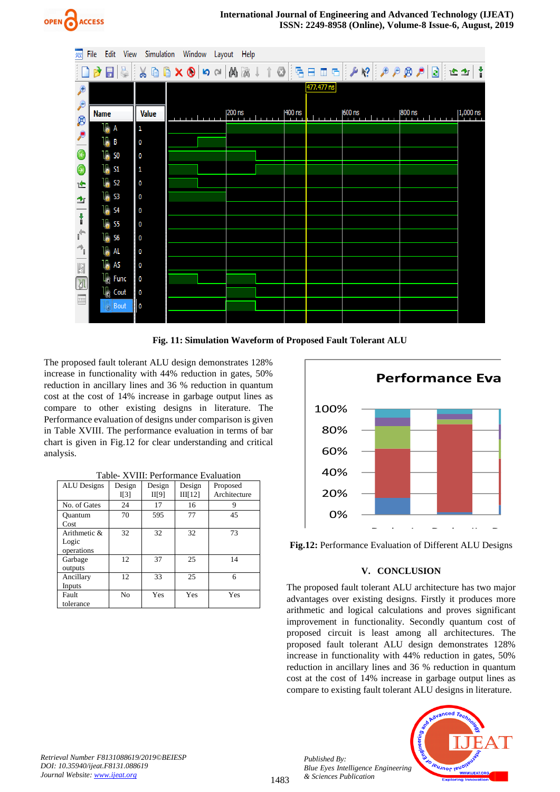



**Fig. 11: Simulation Waveform of Proposed Fault Tolerant ALU**

The proposed fault tolerant ALU design demonstrates 128% increase in functionality with 44% reduction in gates, 50% reduction in ancillary lines and 36 % reduction in quantum cost at the cost of 14% increase in garbage output lines as compare to other existing designs in literature. The Performance evaluation of designs under comparison is given in Table XVIII. The performance evaluation in terms of bar chart is given in Fig.12 for clear understanding and critical analysis.

| <b>ALU</b> Designs                     | Design<br>II <sub>3</sub> | Design<br>II[9] | Design<br>III[12] | Proposed<br>Architecture |
|----------------------------------------|---------------------------|-----------------|-------------------|--------------------------|
| No. of Gates                           | 24                        | 17              | 16                | 9                        |
| Ouantum<br>Cost                        | 70                        | 595             | 77                | 45                       |
| Arithmetic $\&$<br>Logic<br>operations | 32                        | 32              | 32                | 73                       |
| Garbage<br>outputs                     | 12                        | 37              | 25                | 14                       |
| Ancillary<br>Inputs                    | 12                        | 33              | 25                | 6                        |
| Fault<br>tolerance                     | N <sub>o</sub>            | Yes             | Yes               | Yes                      |



**Fig.12:** Performance Evaluation of Different ALU Designs

# Number of Gates Quantum Cost **V. CONCLUSION**

The proposed fault tolerant ALU architecture has two major arithmetic and logical calculations and proves significant advantages over existing designs. Firstly it produces more improvement in functionality. Secondly quantum cost of proposed circuit is least among all architectures. The proposed fault tolerant ALU design demonstrates 128% increase in functionality with 44% reduction in gates, 50% reduction in ancillary lines and 36 % reduction in quantum cost at the cost of 14% increase in garbage output lines as compare to existing fault tolerant ALU designs in literature.

*Published By: Blue Eyes Intelligence Engineering & Sciences Publication* 



*Retrieval Number F8131088619/2019©BEIESP DOI: 10.35940/ijeat.F8131.088619 Journal Website[: www.ijeat.org](http://www.ijeat.org/)*